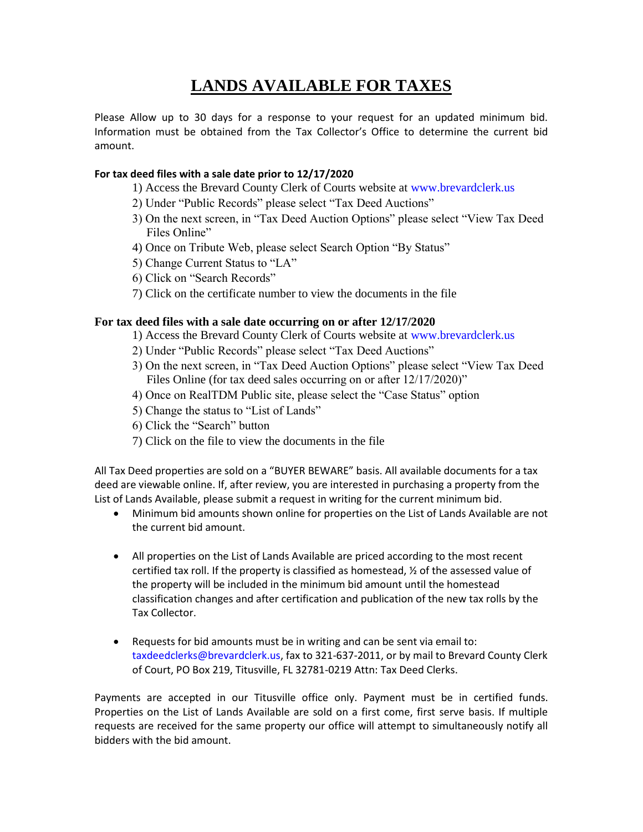## **LANDS AVAILABLE FOR TAXES**

Please Allow up to 30 days for a response to your request for an updated minimum bid. Information must be obtained from the Tax Collector's Office to determine the current bid amount.

## **For tax deed files with a sale date prior to 12/17/2020**

- 1) Access the Brevard County Clerk of Courts website at www.brevardclerk.us
- 2) Under "Public Records" please select "Tax Deed Auctions"
- 3) On the next screen, in "Tax Deed Auction Options" please select "View Tax Deed Files Online"
- 4) Once on Tribute Web, please select Search Option "By Status"
- 5) Change Current Status to "LA"
- 6) Click on "Search Records"
- 7) Click on the certificate number to view the documents in the file

## **For tax deed files with a sale date occurring on or after 12/17/2020**

- 1) Access the Brevard County Clerk of Courts website at www.brevardclerk.us
- 2) Under "Public Records" please select "Tax Deed Auctions"
- 3) On the next screen, in "Tax Deed Auction Options" please select "View Tax Deed Files Online (for tax deed sales occurring on or after  $12/17/2020$ )"
- 4) Once on RealTDM Public site, please select the "Case Status" option
- 5) Change the status to "List of Lands"
- 6) Click the "Search" button
- 7) Click on the file to view the documents in the file

All Tax Deed properties are sold on a "BUYER BEWARE" basis. All available documents for a tax deed are viewable online. If, after review, you are interested in purchasing a property from the List of Lands Available, please submit a request in writing for the current minimum bid.

- Minimum bid amounts shown online for properties on the List of Lands Available are not the current bid amount.
- All properties on the List of Lands Available are priced according to the most recent certified tax roll. If the property is classified as homestead,  $\frac{1}{2}$  of the assessed value of the property will be included in the minimum bid amount until the homestead classification changes and after certification and publication of the new tax rolls by the Tax Collector.
- Requests for bid amounts must be in writing and can be sent via email to: taxdeedclerks@brevardclerk.us, fax to 321-637-2011, or by mail to Brevard County Clerk of Court, PO Box 219, Titusville, FL 32781-0219 Attn: Tax Deed Clerks.

Payments are accepted in our Titusville office only. Payment must be in certified funds. Properties on the List of Lands Available are sold on a first come, first serve basis. If multiple requests are received for the same property our office will attempt to simultaneously notify all bidders with the bid amount.